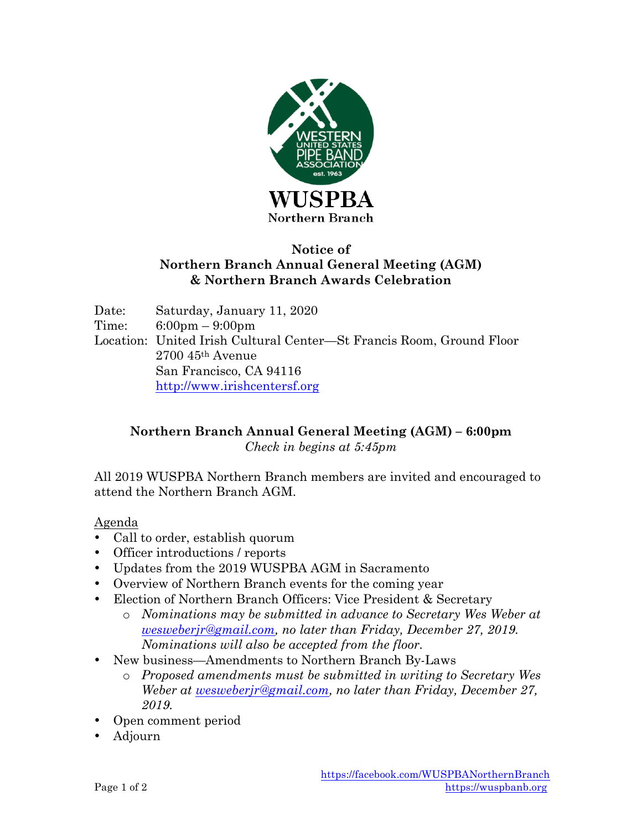

## **Notice of Northern Branch Annual General Meeting (AGM) & Northern Branch Awards Celebration**

Date: Saturday, January 11, 2020 Time: 6:00pm – 9:00pm Location: United Irish Cultural Center—St Francis Room, Ground Floor 2700 45th Avenue San Francisco, CA 94116 http://www.irishcentersf.org

## **Northern Branch Annual General Meeting (AGM) – 6:00pm** *Check in begins at 5:45pm*

All 2019 WUSPBA Northern Branch members are invited and encouraged to attend the Northern Branch AGM.

Agenda

- Call to order, establish quorum
- Officer introductions / reports
- Updates from the 2019 WUSPBA AGM in Sacramento
- Overview of Northern Branch events for the coming year
- Election of Northern Branch Officers: Vice President & Secretary
	- o *Nominations may be submitted in advance to Secretary Wes Weber at wesweberjr@gmail.com, no later than Friday, December 27, 2019. Nominations will also be accepted from the floor.*
- New business—Amendments to Northern Branch By-Laws
	- o *Proposed amendments must be submitted in writing to Secretary Wes Weber at wesweberjr@gmail.com, no later than Friday, December 27, 2019.*
- Open comment period
- Adjourn